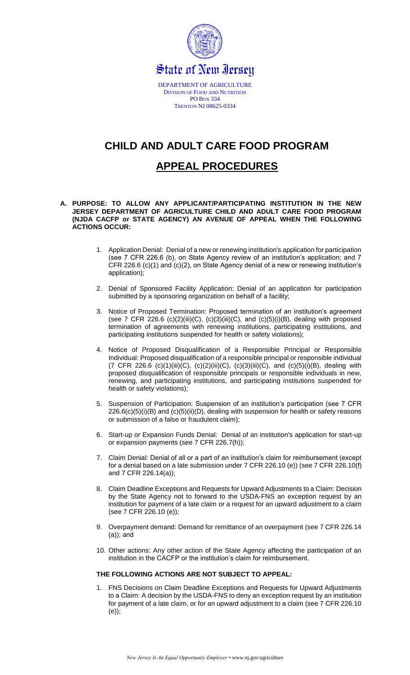

# **CHILD AND ADULT CARE FOOD PROGRAM**

## **APPEAL PROCEDURES**

- **A. PURPOSE: TO ALLOW ANY APPLICANT/PARTICIPATING INSTITUTION IN THE NEW JERSEY DEPARTMENT OF AGRICULTURE CHILD AND ADULT CARE FOOD PROGRAM (NJDA CACFP or STATE AGENCY) AN AVENUE OF APPEAL WHEN THE FOLLOWING ACTIONS OCCUR:**
	- 1. Application Denial: Denial of a new or renewing institution's application for participation (see 7 CFR 226.6 (b), on State Agency review of an institution's application; and 7 CFR 226.6 (c)(1) and (c)(2), on State Agency denial of a new or renewing institution's application);
	- 2. Denial of Sponsored Facility Application: Denial of an application for participation submitted by a sponsoring organization on behalf of a facility;
	- 3. Notice of Proposed Termination: Proposed termination of an institution's agreement (see 7 CFR 226.6 (c)(2)(iii)(C), (c)(3)(iii)(C), and (c)(5)(i)(B), dealing with proposed termination of agreements with renewing institutions, participating institutions, and participating institutions suspended for health or safety violations);
	- 4. Notice of Proposed Disqualification of a Responsible Principal or Responsible Individual: Proposed disqualification of a responsible principal or responsible individual (7 CFR 226.6 (c)(1)(iii)(C), (c)(2)(iii)(C), (c)(3)(iii)(C), and (c)(5)(i)(B), dealing with proposed disqualification of responsible principals or responsible individuals in new, renewing, and participating institutions, and participating institutions suspended for health or safety violations);
	- 5. Suspension of Participation: Suspension of an institution's participation (see 7 CFR  $226.6(c)(5)(i)(B)$  and  $(c)(5)(ii)(D)$ , dealing with suspension for health or safety reasons or submission of a false or fraudulent claim);
	- 6. Start-up or Expansion Funds Denial: Denial of an institution's application for start-up or expansion payments (see 7 CFR 226.7(h));
	- 7. Claim Denial: Denial of all or a part of an institution's claim for reimbursement (except for a denial based on a late submission under 7 CFR 226.10 (e)) (see 7 CFR 226.10(f) and 7 CFR 226.14(a));
	- 8. Claim Deadline Exceptions and Requests for Upward Adjustments to a Claim: Decision by the State Agency not to forward to the USDA-FNS an exception request by an institution for payment of a late claim or a request for an upward adjustment to a claim (see 7 CFR 226.10 (e));
	- 9. Overpayment demand: Demand for remittance of an overpayment (see 7 CFR 226.14 (a)); and
	- 10. Other actions: Any other action of the State Agency affecting the participation of an institution in the CACFP or the institution's claim for reimbursement.

## **THE FOLLOWING ACTIONS ARE NOT SUBJECT TO APPEAL:**

1. FNS Decisions on Claim Deadline Exceptions and Requests for Upward Adjustments to a Claim: A decision by the USDA-FNS to deny an exception request by an institution for payment of a late claim, or for an upward adjustment to a claim (see 7 CFR 226.10 (e));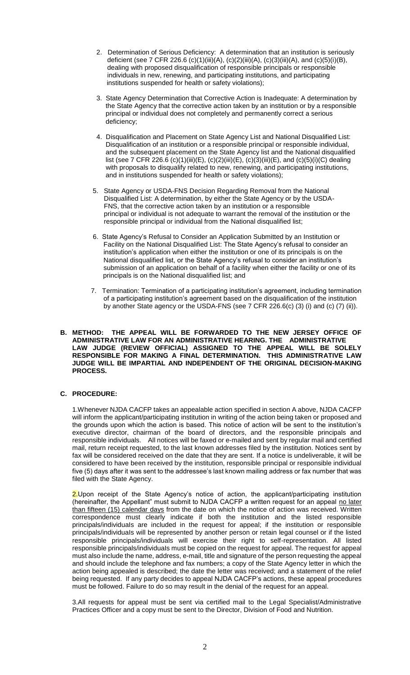- 2. Determination of Serious Deficiency: A determination that an institution is seriously deficient (see 7 CFR 226.6 (c)(1)(iii)(A), (c)(2)(iii)(A), (c)(3)(iii)(A), and (c)(5)(i)(B), dealing with proposed disqualification of responsible principals or responsible individuals in new, renewing, and participating institutions, and participating institutions suspended for health or safety violations);
- 3. State Agency Determination that Corrective Action is Inadequate: A determination by the State Agency that the corrective action taken by an institution or by a responsible principal or individual does not completely and permanently correct a serious deficiency;
- 4. Disqualification and Placement on State Agency List and National Disqualified List: Disqualification of an institution or a responsible principal or responsible individual, and the subsequent placement on the State Agency list and the National disqualified list (see 7 CFR 226.6 (c)(1)(iii)(E), (c)(2)(iii)(E), (c)(3)(iii)(E), and (c)(5)(i)(C) dealing with proposals to disqualify related to new, renewing, and participating institutions, and in institutions suspended for health or safety violations);
- 5. State Agency or USDA-FNS Decision Regarding Removal from the National Disqualified List: A determination, by either the State Agency or by the USDA- FNS, that the corrective action taken by an institution or a responsible principal or individual is not adequate to warrant the removal of the institution or the responsible principal or individual from the National disqualified list;
- 6. State Agency's Refusal to Consider an Application Submitted by an Institution or Facility on the National Disqualified List: The State Agency's refusal to consider an institution's application when either the institution or one of its principals is on the National disqualified list, or the State Agency's refusal to consider an institution's submission of an application on behalf of a facility when either the facility or one of its principals is on the National disqualified list; and
- 7. Termination: Termination of a participating institution's agreement, including termination of a participating institution's agreement based on the disqualification of the institution by another State agency or the USDA-FNS (see 7 CFR 226.6(c) (3) (i) and (c) (7) (ii)).

#### **B. METHOD: THE APPEAL WILL BE FORWARDED TO THE NEW JERSEY OFFICE OF ADMINISTRATIVE LAW FOR AN ADMINISTRATIVE HEARING. THE ADMINISTRATIVE LAW JUDGE (REVIEW OFFICIAL) ASSIGNED TO THE APPEAL WILL BE SOLELY RESPONSIBLE FOR MAKING A FINAL DETERMINATION. THIS ADMINISTRATIVE LAW JUDGE WILL BE IMPARTIAL AND INDEPENDENT OF THE ORIGINAL DECISION-MAKING PROCESS.**

## **C. PROCEDURE:**

1.Whenever NJDA CACFP takes an appealable action specified in section A above, NJDA CACFP will inform the applicant/participating institution in writing of the action being taken or proposed and the grounds upon which the action is based. This notice of action will be sent to the institution's executive director, chairman of the board of directors, and the responsible principals and responsible individuals. All notices will be faxed or e-mailed and sent by regular mail and certified mail, return receipt requested, to the last known addresses filed by the institution. Notices sent by fax will be considered received on the date that they are sent. If a notice is undeliverable, it will be considered to have been received by the institution, responsible principal or responsible individual five (5) days after it was sent to the addressee's last known mailing address or fax number that was filed with the State Agency.

2. Upon receipt of the State Agency's notice of action, the applicant/participating institution (hereinafter, the Appellant" must submit to NJDA CACFP a written request for an appeal no later than fifteen (15) calendar days from the date on which the notice of action was received. Written correspondence must clearly indicate if both the institution and the listed responsible principals/individuaIs are included in the request for appeal; if the institution or responsible principals/individuaIs will be represented by another person or retain legal counsel or if the listed responsible principals/individuals will exercise their right to self-representation. All listed responsible principals/individuaIs must be copied on the request for appeal. The request for appeal must also include the name, address, e-mail, title and signature of the person requesting the appeal and should include the telephone and fax numbers; a copy of the State Agency letter in which the action being appealed is described; the date the letter was received; and a statement of the relief being requested. If any party decides to appeal NJDA CACFP's actions, these appeal procedures must be followed. Failure to do so may result in the denial of the request for an appeal.

3.All requests for appeal must be sent via certified mail to the Legal Specialist/Administrative Practices Officer and a copy must be sent to the Director, Division of Food and Nutrition.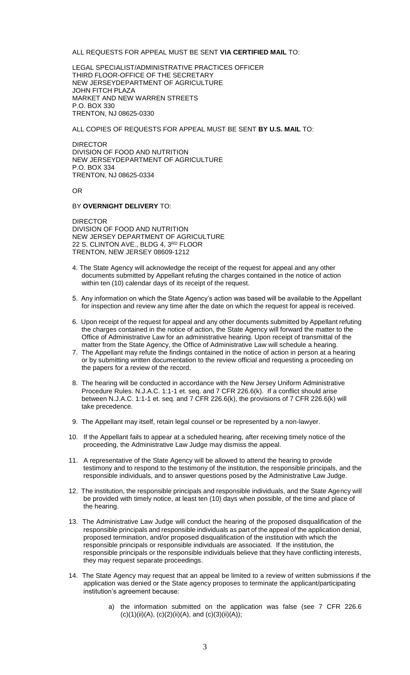ALL REQUESTS FOR APPEAL MUST BE SENT **VIA CERTIFIED MAIL** TO:

LEGAL SPECIALIST/ADMINISTRATIVE PRACTICES OFFICER THIRD FLOOR-OFFICE OF THE SECRETARY NEW JERSEYDEPARTMENT OF AGRICULTURE JOHN FITCH PLAZA MARKET AND NEW WARREN STREETS P.O. BOX 330 TRENTON, NJ 08625-0330

ALL COPIES OF REQUESTS FOR APPEAL MUST BE SENT **BY U.S. MAIL** TO:

DIRECTOR DIVISION OF FOOD AND NUTRITION NEW JERSEYDEPARTMENT OF AGRICULTURE P.O. BOX 334 TRENTON, NJ 08625-0334

OR

#### BY **OVERNIGHT DELIVERY** TO:

DIRECTOR DIVISION OF FOOD AND NUTRITION NEW JERSEY DEPARTMENT OF AGRICULTURE 22 S. CLINTON AVE., BLDG 4, 3RD FLOOR TRENTON, NEW JERSEY 08609-1212

- 4. The State Agency will acknowledge the receipt of the request for appeal and any other documents submitted by Appellant refuting the charges contained in the notice of action within ten (10) calendar days of its receipt of the request.
- 5. Any information on which the State Agency's action was based will be available to the Appellant for inspection and review any time after the date on which the request for appeal is received.
- 6. Upon receipt of the request for appeal and any other documents submitted by Appellant refuting the charges contained in the notice of action, the State Agency will forward the matter to the Office of Administrative Law for an administrative hearing. Upon receipt of transmittal of the matter from the State Agency, the Office of Administrative Law will schedule a hearing.
- 7. The Appellant may refute the findings contained in the notice of action in person at a hearing or by submitting written documentation to the review official and requesting a proceeding on the papers for a review of the record.
- 8. The hearing will be conducted in accordance with the New Jersey Uniform Administrative Procedure Rules. N.J.A.C. 1:1-1 et. seq. and 7 CFR 226.6(k). If a conflict should arise between N.J.A.C. 1:1-1 et. seq. and 7 CFR 226.6(k), the provisions of 7 CFR 226.6(k) will take precedence.
- 9. The Appellant may itself, retain legal counsel or be represented by a non-lawyer.
- 10. If the Appellant fails to appear at a scheduled hearing, after receiving timely notice of the proceeding, the Administrative Law Judge may dismiss the appeal.
- 11. A representative of the State Agency will be allowed to attend the hearing to provide testimony and to respond to the testimony of the institution, the responsible principals, and the responsible individuals, and to answer questions posed by the Administrative Law Judge.
- 12. The institution, the responsible principals and responsible individuals, and the State Agency will be provided with timely notice, at least ten (10) days when possible, of the time and place of the hearing.
- 13. The Administrative Law Judge will conduct the hearing of the proposed disqualification of the responsible principals and responsible individuals as part of the appeal of the application denial, proposed termination, and/or proposed disqualification of the institution with which the responsible principals or responsible individuals are associated. If the institution, the responsible principals or the responsible individuals believe that they have conflicting interests, they may request separate proceedings.
- 14. The State Agency may request that an appeal be limited to a review of written submissions if the application was denied or the State agency proposes to terminate the applicant/participating institution's agreement because:
	- a) the information submitted on the application was false (see 7 CFR 226.6  $(c)(1)(ii)(A), (c)(2)(ii)(A), and (c)(3)(ii)(A));$